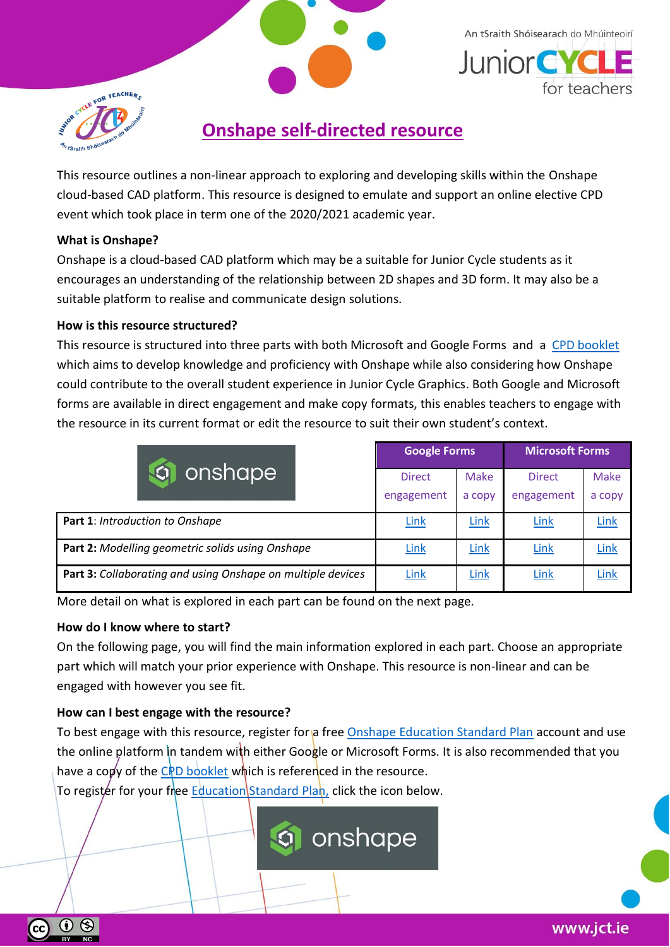

# **Onshape self-directed resource**

This resource outlines a non-linear approach to exploring and developing skills within the Onshape cloud-based CAD platform. This resource is designed to emulate and support an online elective CPD event which took place in term one of the 2020/2021 academic year.

# **What is Onshape?**

Onshape is a cloud-based CAD platform which may be a suitable for Junior Cycle students as it encourages an understanding of the relationship between 2D shapes and 3D form. It may also be a suitable platform to realise and communicate design solutions.

## **How is this resource structured?**

This resource is structured into three parts with both Microsoft and Google Forms and a [CPD booklet](https://www.jct.ie/perch/resources/technologies/onshape-elective-workshop-booklet.pdf) which aims to develop knowledge and proficiency with Onshape while also considering how Onshape could contribute to the overall student experience in Junior Cycle Graphics. Both Google and Microsoft forms are available in direct engagement and make copy formats, this enables teachers to engage with the resource in its current format or edit the resource to suit their own student's context.

|                                                             | <b>Google Forms</b> |        | <b>Microsoft Forms</b> |             |
|-------------------------------------------------------------|---------------------|--------|------------------------|-------------|
| onshape                                                     | <b>Direct</b>       | Make   | <b>Direct</b>          | <b>Make</b> |
|                                                             | engagement          | a copy | engagement             | a copy      |
| Part 1: Introduction to Onshape                             | <b>Link</b>         | Link   | Link                   | Link        |
| Part 2: Modelling geometric solids using Onshape            | <b>Link</b>         | Link   | Link                   | Link        |
| Part 3: Collaborating and using Onshape on multiple devices | <b>Link</b>         | Link   | Link                   | Link        |

More detail on what is explored in each part can be found on the next page.

#### **How do I know where to start?**

 $\Theta$ 

(cc)

On the following page, you will find the main information explored in each part. Choose an appropriate part which will match your prior experience with Onshape. This resource is non-linear and can be engaged with however you see fit.

# **How can I best engage with the resource?**

To best engage with this resource, register for a free [Onshape Education Standard Plan](https://www.onshape.com/en/education/) account and use the online platform in tandem with either Google or Microsoft Forms. It is also recommended that you have a copy of the [CPD booklet](https://www.jct.ie/perch/resources/technologies/onshape-elective-workshop-booklet.pdf) which is referenced in the resource.

To register for your free [Education Standard Plan,](https://www.onshape.com/en/education/) click the icon below.

onshape

An tSraith Shóisearach do Mhúinteoirí

for teachers

**Junior CYC**